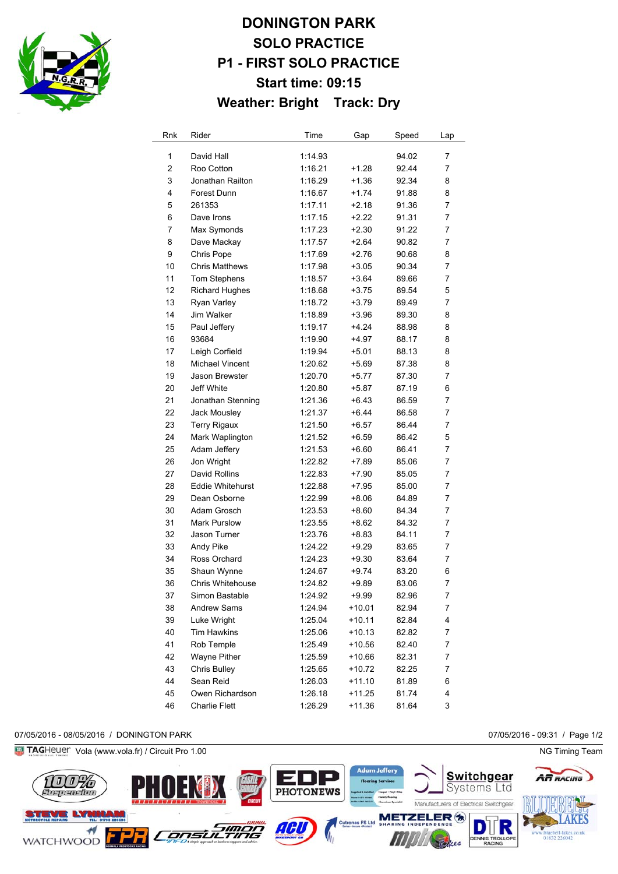

# **DONINGTON PARK SOLO PRACTICE P1 - FIRST SOLO PRACTICE Start time: 09:15 Weather: Bright Track: Dry**

| Rnk            | Rider                   | Time    | Gap      | Speed | Lap |
|----------------|-------------------------|---------|----------|-------|-----|
| 1              | David Hall              | 1:14.93 |          | 94.02 | 7   |
| $\overline{c}$ | Roo Cotton              | 1:16.21 | +1.28    | 92.44 | 7   |
| 3              | Jonathan Railton        | 1:16.29 | +1.36    | 92.34 | 8   |
| 4              | Forest Dunn             | 1:16.67 | $+1.74$  | 91.88 | 8   |
| 5              | 261353                  | 1:17.11 | $+2.18$  | 91.36 | 7   |
| 6              | Dave Irons              | 1:17.15 | +2.22    | 91.31 | 7   |
| 7              | Max Symonds             | 1:17.23 | $+2.30$  | 91.22 | 7   |
| 8              | Dave Mackay             | 1:17.57 | $+2.64$  | 90.82 | 7   |
| 9              | Chris Pope              | 1:17.69 | $+2.76$  | 90.68 | 8   |
| 10             | <b>Chris Matthews</b>   | 1:17.98 | $+3.05$  | 90.34 | 7   |
| 11             | Tom Stephens            | 1:18.57 | $+3.64$  | 89.66 | 7   |
| 12             | <b>Richard Hughes</b>   | 1:18.68 | $+3.75$  | 89.54 | 5   |
| 13             | Ryan Varley             | 1:18.72 | $+3.79$  | 89.49 | 7   |
| 14             | Jim Walker              | 1:18.89 | $+3.96$  | 89.30 | 8   |
| 15             | Paul Jeffery            | 1:19.17 | +4.24    | 88.98 | 8   |
| 16             | 93684                   | 1:19.90 | +4.97    | 88.17 | 8   |
| 17             | Leigh Corfield          | 1:19.94 | +5.01    | 88.13 | 8   |
| 18             | <b>Michael Vincent</b>  | 1:20.62 | +5.69    | 87.38 | 8   |
| 19             | Jason Brewster          | 1:20.70 | +5.77    | 87.30 | 7   |
| 20             | Jeff White              | 1:20.80 | +5.87    | 87.19 | 6   |
| 21             | Jonathan Stenning       | 1:21.36 | +6.43    | 86.59 | 7   |
| 22             | Jack Mousley            | 1:21.37 | $+6.44$  | 86.58 | 7   |
| 23             | <b>Terry Rigaux</b>     | 1:21.50 | $+6.57$  | 86.44 | 7   |
| 24             | Mark Waplington         | 1:21.52 | $+6.59$  | 86.42 | 5   |
| 25             | Adam Jeffery            | 1:21.53 | $+6.60$  | 86.41 | 7   |
| 26             | Jon Wright              | 1:22.82 | $+7.89$  | 85.06 | 7   |
| 27             | David Rollins           | 1:22.83 | $+7.90$  | 85.05 | 7   |
| 28             | <b>Eddie Whitehurst</b> | 1:22.88 | +7.95    | 85.00 | 7   |
| 29             | Dean Osborne            | 1:22.99 | $+8.06$  | 84.89 | 7   |
| 30             | Adam Grosch             | 1:23.53 | $+8.60$  | 84.34 | 7   |
| 31             | <b>Mark Purslow</b>     | 1:23.55 | $+8.62$  | 84.32 | 7   |
| 32             | Jason Turner            | 1:23.76 | $+8.83$  | 84.11 | 7   |
| 33             | Andy Pike               | 1:24.22 | +9.29    | 83.65 | 7   |
| 34             | Ross Orchard            | 1:24.23 | $+9.30$  | 83.64 | 7   |
| 35             | Shaun Wynne             | 1:24.67 | +9.74    | 83.20 | 6   |
| 36             | <b>Chris Whitehouse</b> | 1:24.82 | $+9.89$  | 83.06 | 7   |
| 37             | Simon Bastable          | 1:24.92 | +9.99    | 82.96 | 7   |
| 38             | Andrew Sams             | 1:24.94 | $+10.01$ | 82.94 | 7   |
| 39             | Luke Wright             | 1:25.04 | $+10.11$ | 82.84 | 4   |
| 40             | Tim Hawkins             | 1:25.06 | $+10.13$ | 82.82 | 7   |
| 41             | Rob Temple              | 1:25.49 | $+10.56$ | 82.40 | 7   |
| 42             | Wayne Pither            | 1:25.59 | +10.66   | 82.31 | 7   |
| 43             | Chris Bulley            | 1:25.65 | $+10.72$ | 82.25 | 7   |
| 44             | Sean Reid               | 1:26.03 | $+11.10$ | 81.89 | 6   |
| 45             | Owen Richardson         | 1:26.18 | $+11.25$ | 81.74 | 4   |
| 46             | <b>Charlie Flett</b>    | 1:26.29 | $+11.36$ | 81.64 | 3   |

#### 07/05/2016 - 08/05/2016 / DONINGTON PARK 07/05/2016 - 09:31 / Page 1/2

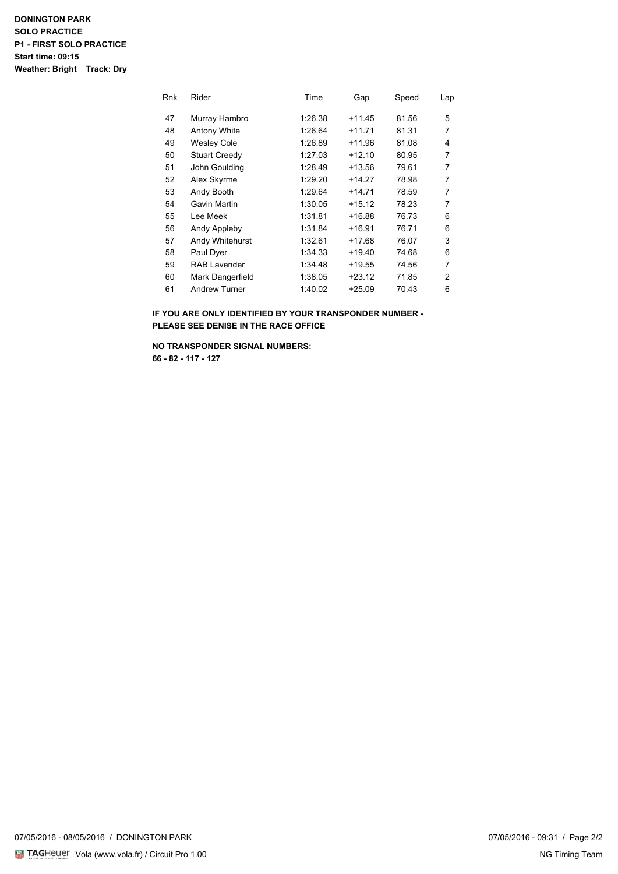### **DONINGTON PARK SOLO PRACTICE P1 - FIRST SOLO PRACTICE Start time: 09:15 Weather: Bright Track: Dry**

| <b>Rnk</b> | Rider                | Time    | Gap      | Speed | Lap |
|------------|----------------------|---------|----------|-------|-----|
|            |                      |         |          |       |     |
| 47         | Murray Hambro        | 1:26.38 | $+11.45$ | 81.56 | 5   |
| 48         | Antony White         | 1:26.64 | $+11.71$ | 81.31 | 7   |
| 49         | <b>Wesley Cole</b>   | 1:26.89 | $+11.96$ | 81.08 | 4   |
| 50         | <b>Stuart Creedy</b> | 1:27.03 | $+12.10$ | 80.95 | 7   |
| 51         | John Goulding        | 1:28.49 | $+13.56$ | 79.61 | 7   |
| 52         | Alex Skyrme          | 1:29.20 | $+14.27$ | 78.98 | 7   |
| 53         | Andy Booth           | 1:29.64 | $+14.71$ | 78.59 | 7   |
| 54         | Gavin Martin         | 1:30.05 | $+15.12$ | 78.23 | 7   |
| 55         | Lee Meek             | 1:31.81 | $+16.88$ | 76.73 | 6   |
| 56         | Andy Appleby         | 1:31.84 | $+16.91$ | 76.71 | 6   |
| 57         | Andy Whitehurst      | 1:32.61 | $+17.68$ | 76.07 | 3   |
| 58         | Paul Dyer            | 1:34.33 | +19.40   | 74.68 | 6   |
| 59         | <b>RAB Lavender</b>  | 1:34.48 | $+19.55$ | 74.56 | 7   |
| 60         | Mark Dangerfield     | 1:38.05 | $+23.12$ | 71.85 | 2   |
| 61         | <b>Andrew Turner</b> | 1:40.02 | $+25.09$ | 70.43 | 6   |

**IF YOU ARE ONLY IDENTIFIED BY YOUR TRANSPONDER NUMBER - PLEASE SEE DENISE IN THE RACE OFFICE**

**NO TRANSPONDER SIGNAL NUMBERS: 66 - 82 - 117 - 127**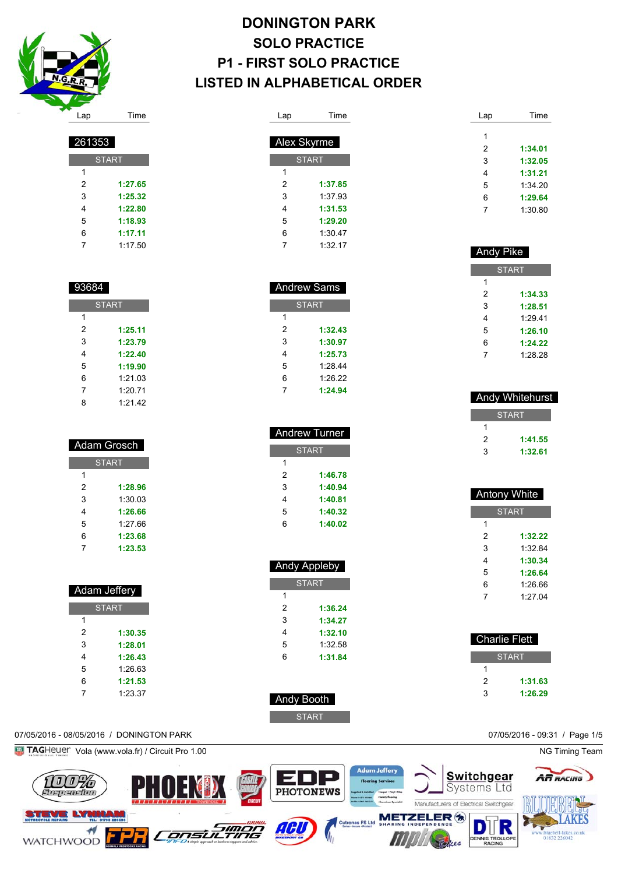

**START** 

 **1:27.65 1:25.32 1:22.80 1:18.93 1:17.11** 1:17.50

**START** 

 **1:25.11 1:23.79 1:22.40 1:19.90** 1:21.03 1:20.71 1:21.42

 Adam Grosch **START** 

> **1:28.96** 1:30.03 **1:26.66** 1:27.66 **1:23.68 1:23.53**

 Adam Jeffery **START** 

> **1:30.35 1:28.01 1:26.43** 1:26.63 **1:21.53** 1:23.37

## **DONINGTON PARK SOLO PRACTICE P1 - FIRST SOLO PRACTICE LISTED IN ALPHABETICAL ORDER**

| Lap | Time               |  |
|-----|--------------------|--|
|     | Alex Skyrme        |  |
|     | <b>START</b>       |  |
| 1   |                    |  |
| 2   | 1:37.85            |  |
| 3   | 1:37.93            |  |
| 4   | 1:31.53            |  |
| 5   | 1:29.20            |  |
| 6   | 1:30.47            |  |
| 7   | 1:32.17            |  |
|     |                    |  |
|     |                    |  |
|     | <b>Andrew Sams</b> |  |

| <b>START</b> |         |  |  |
|--------------|---------|--|--|
| 1            |         |  |  |
| 2            | 1:32.43 |  |  |
| 3            | 1:30.97 |  |  |
| 4            | 1:25.73 |  |  |
| 5            | 1:28.44 |  |  |
| 6            | 1:26.22 |  |  |
|              | 1:24.94 |  |  |

I

| <b>Andrew Turner</b> |              |  |
|----------------------|--------------|--|
|                      | <b>START</b> |  |
| 1                    |              |  |
| 2                    | 1:46.78      |  |
| 3                    | 1:40.94      |  |
| 4                    | 1:40.81      |  |
| 5                    | 1:40.32      |  |
| Բ                    | 1:40.02      |  |

| Andy Appleby       |              |  |  |
|--------------------|--------------|--|--|
|                    | <b>START</b> |  |  |
| 1                  |              |  |  |
| 2                  | 1:36.24      |  |  |
| 3                  | 1:34.27      |  |  |
| 4                  | 1:32.10      |  |  |
| 5                  | 1:32.58      |  |  |
| 6                  | 1:31.84      |  |  |
|                    |              |  |  |
|                    |              |  |  |
| Andy Bo <u>oth</u> |              |  |  |

START

| Lap | Time    |
|-----|---------|
|     |         |
| 1   |         |
| 2   | 1:34.01 |
| 3   | 1:32.05 |
| 4   | 1:31.21 |
| 5   | 1:34.20 |
| 6   | 1:29.64 |
| 7   | 1:30.80 |
|     |         |

| <b>Andy Pike</b> |         |  |
|------------------|---------|--|
| <b>START</b>     |         |  |
| 1                |         |  |
| 2                | 1:34.33 |  |
| 3                | 1:28.51 |  |
| 4                | 1.2941  |  |
| 5                | 1:26.10 |  |
| 6                | 1:24.22 |  |
| 7                | 1.28.28 |  |

| <b>Andy Whitehurst</b> |         |  |
|------------------------|---------|--|
| <b>START</b>           |         |  |
|                        |         |  |
| 2                      | 1:41.55 |  |
| 3                      | 1:32.61 |  |

| <b>Antony White</b> |         |  |
|---------------------|---------|--|
| <b>START</b>        |         |  |
| 1                   |         |  |
| 2                   | 1:32.22 |  |
| 3                   | 1:32.84 |  |
| 4                   | 1:30.34 |  |
| 5                   | 1:26.64 |  |
| 6                   | 1.26.66 |  |
| 7                   | 1:27.04 |  |
|                     |         |  |

| Charlie Flett |              |  |
|---------------|--------------|--|
|               | <b>START</b> |  |
|               |              |  |
| 2             | 1:31.63      |  |
| 3             | 1:26.29      |  |

#### 07/05/2016 - 08/05/2016 / DONINGTON PARK 07/05/2016 - 09:31 / Page 1/5

**Fig. TAG**Heuer Vola (www.vola.fr) / Circuit Pro 1.00 NG Timing Team ► 100% PH E **PHOTONEWS** Suspension











lees

RAC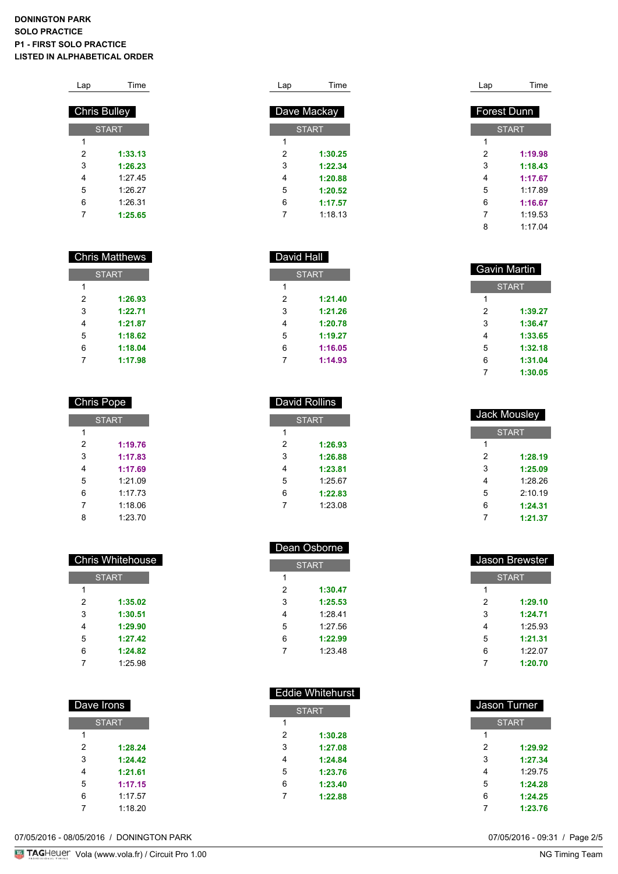| Lap | Time                |
|-----|---------------------|
|     |                     |
|     | <b>Chris Bulley</b> |
|     | <b>START</b>        |
| 1   |                     |
| 2   | 1:33.13             |
| 3   | 1:26.23             |
| 4   | 1:27.45             |
| 5   | 1:26.27             |
| 6   | 1:26.31             |
| 7   | 1:25.65             |

| <b>Chris Matthews</b> |              |  |
|-----------------------|--------------|--|
|                       | <b>START</b> |  |
| 1                     |              |  |
| 2                     | 1:26.93      |  |
| 3                     | 1・22 71      |  |
| 4                     | 1:21.87      |  |
| 5                     | 1:18.62      |  |
| 6                     | 1:18.04      |  |
|                       | 1:17.98      |  |

| <b>Chris Pope</b> |         |  |
|-------------------|---------|--|
| <b>START</b>      |         |  |
| 1                 |         |  |
| 2                 | 1:19.76 |  |
| 3                 | 1:17.83 |  |
| 4                 | 1:17.69 |  |
| 5                 | 1:21.09 |  |
| 6                 | 1.1773  |  |
| 7                 | 1:18.06 |  |
| 8                 | 1:23.70 |  |

| <b>Chris Whitehouse</b> |         |  |
|-------------------------|---------|--|
| <b>START</b>            |         |  |
| 1                       |         |  |
| 2                       | 1:35.02 |  |
| 3                       | 1:30.51 |  |
| 4                       | 1:29.90 |  |
| 5                       | 1:27.42 |  |
| 6                       | 1:24.82 |  |
| 7                       | 1:25.98 |  |

| Dave Irons |              |  |  |
|------------|--------------|--|--|
|            | <b>START</b> |  |  |
| 1          |              |  |  |
| 2          | 1:28.24      |  |  |
| 3          | 1-24 42      |  |  |
| 4          | 1:21.61      |  |  |
| 5          | 1:17.15      |  |  |
| 6          | 1:17.57      |  |  |
|            | 1:18.20      |  |  |

| Lap | Time         |
|-----|--------------|
|     |              |
|     | Dave Mackay  |
|     | <b>START</b> |
| 1   |              |
| 2   | 1:30.25      |
| 3   | 1:22.34      |
| 4   | 1:20.88      |
| 5   | 1:20.52      |
| 6   | 1:17.57      |
| 7   | 1:18.13      |

David Hall

**START** 

 **1:21.40 1:21.26 1:20.78 1:19.27 1:16.05 1:14.93**

 David Rollins **START** 

> **1:26.93 1:26.88 1:23.81** 1:25.67 **1:22.83** 1:23.08

| <b>Forest Dunn</b> |              |  |
|--------------------|--------------|--|
|                    | <b>START</b> |  |
| 1                  |              |  |
| 2                  | 1:19.98      |  |
| 3                  | 1:18.43      |  |
| 4                  | 1:17.67      |  |
| 5                  | 1.17.89      |  |
| 6                  | 1:16.67      |  |
| 7                  | 1.19.53      |  |
| 8                  | 1.17.04      |  |
|                    |              |  |

Lap Time

| Gavin Martin |              |  |
|--------------|--------------|--|
|              | <b>START</b> |  |
| 1            |              |  |
| 2            | 1:39.27      |  |
| 3            | 1:36.47      |  |
| 4            | 1:33.65      |  |
| 5            | 1:32.18      |  |
| 6            | 1:31.04      |  |
|              | 1:30.05      |  |

| Jack Mousley |              |  |
|--------------|--------------|--|
|              | <b>START</b> |  |
| 1            |              |  |
| 2            | 1:28.19      |  |
| 3            | 1:25.09      |  |
| 4            | 1.28.26      |  |
| 5            | 2:10.19      |  |
| 6            | 1:24.31      |  |
|              | 1:21.37      |  |

| Dean Osborne |              |  |
|--------------|--------------|--|
|              | <b>START</b> |  |
| 1            |              |  |
| 2            | 1:30.47      |  |
| 3            | 1:25.53      |  |
| 4            | 1:28.41      |  |
| 5            | 1:27.56      |  |
| 6            | 1:22.99      |  |
| 7            | 1:23.48      |  |

| Jason Brewster |              |  |
|----------------|--------------|--|
|                | <b>START</b> |  |
| 1              |              |  |
| 2              | 1:29.10      |  |
| 3              | 1:24.71      |  |
| 4              | 1:25.93      |  |
| 5              | 1:21.31      |  |
| 6              | 1:2207       |  |
| 7              | 1:20.70      |  |
|                |              |  |

|   | <b>Eddie Whitehurst</b> |   |              |
|---|-------------------------|---|--------------|
|   | <b>START</b>            |   | Jason Turner |
| 1 |                         |   | <b>START</b> |
| 2 | 1:30.28                 | 1 |              |
| 3 | 1:27.08                 | 2 | 1:29.92      |
| 4 | 1:24.84                 | 3 | 1:27.34      |
| 5 | 1:23.76                 | 4 | 1:29.75      |
| 6 | 1:23.40                 | 5 | 1:24.28      |
| 7 | 1:22.88                 | 6 | 1:24.25      |
|   |                         |   | 1:23.76      |

07/05/2016 - 08/05/2016 / DONINGTON PARK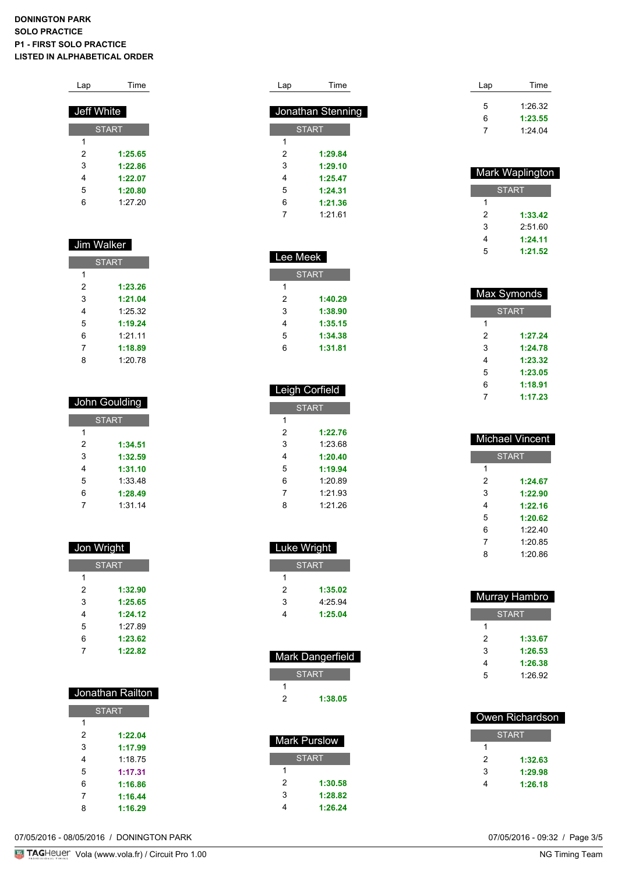| <b>Time</b>  |
|--------------|
| Jeff White   |
| <b>START</b> |
|              |
| 1:25.65      |
| 1:22.86      |
| 1:22.07      |
| 1:20.80      |
| 1:27.20      |
|              |

### Jim Walker

| <b>START</b> |         |
|--------------|---------|
| 1            |         |
| 2            | 1:23.26 |
| 3            | 1:21.04 |
| 4            | 1:25.32 |
| 5            | 1:19.24 |
| 6            | 1:2111  |
| 7            | 1:18.89 |
| ጸ            | 1:20.78 |

| John Goulding |         |
|---------------|---------|
| <b>START</b>  |         |
| 1             |         |
| 2             | 1:34.51 |
| 3             | 1:32.59 |
| 4             | 1:31.10 |
| 5             | 1:33.48 |
| 6             | 1:28.49 |
| 7             | 1:31.14 |

| Jon Wright   |         |
|--------------|---------|
| <b>START</b> |         |
| 1            |         |
| 2            | 1:32.90 |
| 3            | 1:25.65 |
| 4            | 1:24.12 |
| 5            | 1.27.89 |
| 6            | 1:23.62 |
| 7            | 1:22.82 |

| Jonathan Railton |         |
|------------------|---------|
| <b>START</b>     |         |
| 1                |         |
| 2                | 1:22.04 |
| 3                | 1:17.99 |
| 4                | 1.1875  |
| 5                | 1:17.31 |
| 6                | 1:16.86 |
| 7                | 1:16.44 |
| 8                | 1:16.29 |

| Lap | Time              |
|-----|-------------------|
|     | Jonathan Stenning |
|     | <b>START</b>      |
| 1   |                   |
| 2   | 1:29.84           |
| 3   | 1:29.10           |
| 4   | 1:25.47           |
| 5   | 1:24.31           |
| 6   | 1:21.36           |
| 7   | 1:2161            |

| Lee Meek     |         |
|--------------|---------|
| <b>START</b> |         |
| 1            |         |
| 2            | 1:40.29 |
| 3            | 1:38.90 |
| 4            | 1:35.15 |
| 5            | 1:34.38 |
| հ            | 1:31.81 |

| <b>Leigh Corfield</b> |         |
|-----------------------|---------|
| <b>START</b>          |         |
| 1                     |         |
| 2                     | 1:22.76 |
| 3                     | 1.23.68 |
| 4                     | 1:20.40 |
| 5                     | 1:19.94 |
| 6                     | 1:20.89 |
| 7                     | 1:21.93 |
| 8                     | 1:21.26 |

| Luke Wright  |         |
|--------------|---------|
| <b>START</b> |         |
| 1            |         |
| 2            | 1:35.02 |
| 3            | 4.2594  |
| 4            | 1:25.04 |

| Mark Dangerfield |         |
|------------------|---------|
| <b>START</b>     |         |
|                  |         |
| 2                | 1:38.05 |

| Mark Purslow |         |
|--------------|---------|
| <b>START</b> |         |
| 1            |         |
| 2            | 1:30.58 |
| 3            | 1:28.82 |
|              | 1:26.24 |

| Lap | Time    |
|-----|---------|
| 5   | 1.26.32 |
| 6   | 1:23.55 |
|     | 1:24.04 |

| Mark Waplington |         |
|-----------------|---------|
| <b>START</b>    |         |
| 1               |         |
| 2               | 1:33.42 |
| 3               | 2.51.60 |
| 4               | 1.24 11 |
| 5               | 1:21.52 |

| Max Symonds  |         |  |  |
|--------------|---------|--|--|
| <b>START</b> |         |  |  |
| 1            |         |  |  |
| 2            | 1:27.24 |  |  |
| 3            | 1.24.78 |  |  |
| 4            | 1:23.32 |  |  |
| 5            | 1:23.05 |  |  |
| 6            | 1:18.91 |  |  |
| 7            | 1:17.23 |  |  |

| <b>Michael Vincent</b> |         |  |  |
|------------------------|---------|--|--|
| <b>START</b>           |         |  |  |
| 1                      |         |  |  |
| 2                      | 1:24.67 |  |  |
| 3                      | 1:22.90 |  |  |
| 4                      | 1:22.16 |  |  |
| 5                      | 1·20 62 |  |  |
| հ                      | 1.22.40 |  |  |
| 7                      | 1:20.85 |  |  |
| 8                      | 1.20.86 |  |  |

| Murray Hambro |  |  |  |
|---------------|--|--|--|
| <b>START</b>  |  |  |  |
|               |  |  |  |
| 1:33.67       |  |  |  |
| 1:26.53       |  |  |  |
| 1:26.38       |  |  |  |
| 1:26.92       |  |  |  |
|               |  |  |  |

| Owen Richardson |              |  |
|-----------------|--------------|--|
|                 | <b>START</b> |  |
|                 |              |  |
| 2               | 1:32.63      |  |
| 3               | 1:29.98      |  |
|                 | 1:26.18      |  |

07/05/2016 - 08/05/2016 / DONINGTON PARK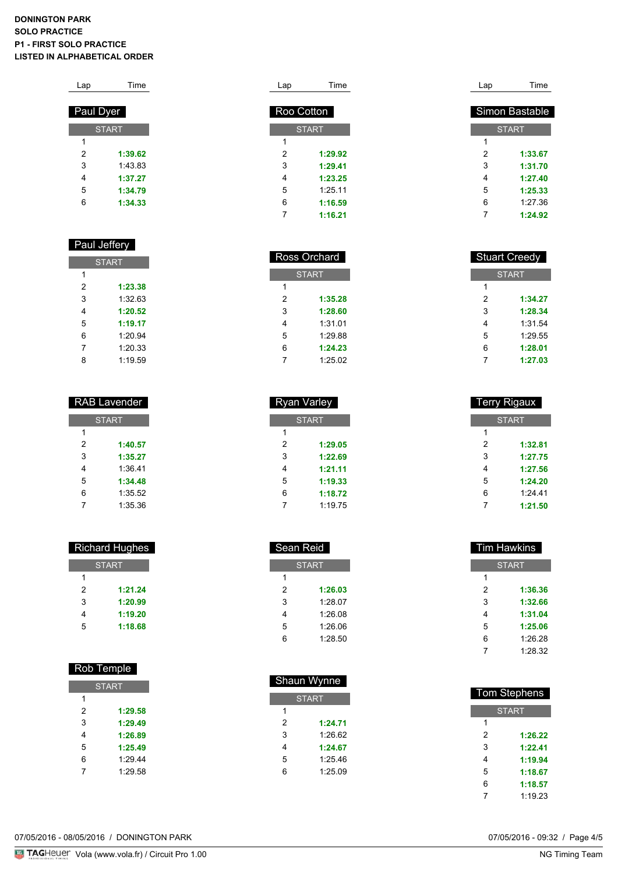| Lap       | Time         |
|-----------|--------------|
| Paul Dyer |              |
|           | <b>START</b> |
| 1         |              |
| 2         | 1:39.62      |
| 3         | 1.43.83      |
| 4         | 1:37.27      |
| 5         | 1:34.79      |
| 6         | 1:34.33      |

#### Paul Jeffery

| <b>START</b> |         |  |
|--------------|---------|--|
| 1            |         |  |
| 2            | 1:23.38 |  |
| 3            | 1:3263  |  |
| 4            | 1:20.52 |  |
| 5            | 1:19.17 |  |
| 6            | 1:20.94 |  |
| 7            | 1:20.33 |  |
| ጸ            | 1:19.59 |  |

| <b>RAB Lavender</b> |         |  |  |
|---------------------|---------|--|--|
| <b>START</b>        |         |  |  |
| 1                   |         |  |  |
| 2                   | 1:40.57 |  |  |
| 3                   | 1:35.27 |  |  |
| 4                   | 1:36.41 |  |  |
| 5                   | 1:34.48 |  |  |
| 6                   | 1:35.52 |  |  |
|                     | 1:35.36 |  |  |

| <b>Richard Hughes</b> |         |  |  |
|-----------------------|---------|--|--|
| <b>START</b>          |         |  |  |
| 1                     |         |  |  |
| 2                     | 1:21.24 |  |  |
| 3                     | 1:20.99 |  |  |
| 4                     | 1:19.20 |  |  |
| 5                     | 1:18.68 |  |  |
|                       |         |  |  |

| <b>Rob Temple</b> |         |  |  |
|-------------------|---------|--|--|
| <b>START</b>      |         |  |  |
| 1                 |         |  |  |
| 2                 | 1:29.58 |  |  |
| 3                 | 1:29.49 |  |  |
| 4                 | 1:26.89 |  |  |
| 5                 | 1:25.49 |  |  |
| 6                 | 1.294   |  |  |
| 7                 | 1.29.58 |  |  |

| Lap | Time         | Lap | Time           |
|-----|--------------|-----|----------------|
|     | Roo Cotton   |     | Simon Bastable |
|     | <b>START</b> |     | <b>START</b>   |
| 1   |              | 1   |                |
| 2   | 1:29.92      | 2   | 1:33.67        |
| 3   | 1:29.41      | 3   | 1:31.70        |
| 4   | 1:23.25      | 4   | 1:27.40        |
| 5   | 1:25.11      | 5   | 1:25.33        |
| 6   | 1:16.59      | 6   | 1:27.36        |
|     | 1:16.21      |     | 1:24.92        |

|   | <b>Ross Orchard</b> |   | <b>Stuart Creedy</b> |
|---|---------------------|---|----------------------|
|   | <b>START</b>        |   | <b>START</b>         |
| 1 |                     | 1 |                      |
| 2 | 1:35.28             | 2 | 1:34.27              |
| 3 | 1:28.60             | 3 | 1:28.34              |
| 4 | 1:31.01             | 4 | 1:31.54              |
| 5 | 1:29.88             | 5 | 1:29.55              |
| 6 | 1:24.23             | 6 | 1:28.01              |
|   | 1:25.02             | 7 | 1:27.03              |

| <b>Terry Rigaux</b> |         |
|---------------------|---------|
| <b>START</b>        |         |
| 1                   |         |
| 2                   | 1:32.81 |
| 3                   | 1:27.75 |
| 4                   | 1:27.56 |
| 5                   | 1:24.20 |
| 6                   | 1:24.41 |
|                     | 1:21.50 |
|                     |         |

| Sean Reid    |         |  |  |
|--------------|---------|--|--|
| <b>START</b> |         |  |  |
| 1            |         |  |  |
| 2            | 1:26.03 |  |  |
| 3            | 1:28.07 |  |  |
| 4            | 1:26.08 |  |  |
| 5            | 1:26.06 |  |  |
| հ            | 1:28.50 |  |  |
|              |         |  |  |

 Shaun Wynne **START** 

 Ross Orchard **START** 

Ryan Varley

**START** 

 **1:29.05 1:22.69 1:21.11 1:19.33 1:18.72** 1:19.75

| Tim Hawkins  |         |  |
|--------------|---------|--|
| <b>START</b> |         |  |
| 1            |         |  |
| 2            | 1:36.36 |  |
| 3            | 1:32.66 |  |
| 4            | 1:31.04 |  |
| 5            | 1:25.06 |  |
| 6            | 1:26.28 |  |
| 7            | 1:28.32 |  |
|              |         |  |

|                | snaun vvynne |                     |
|----------------|--------------|---------------------|
|                | <b>START</b> | <b>Tom Stephens</b> |
| 1              |              |                     |
| $\overline{2}$ | 1:24.71      | 1                   |
| 3              | 1:26.62      | 2                   |
|                | 1:24.67      | 3                   |
|                | 1:25.46      | 4                   |
|                | 1:25.09      | 5                   |
|                |              | 6                   |
|                |              |                     |

07/05/2016 - 08/05/2016 / DONINGTON PARK